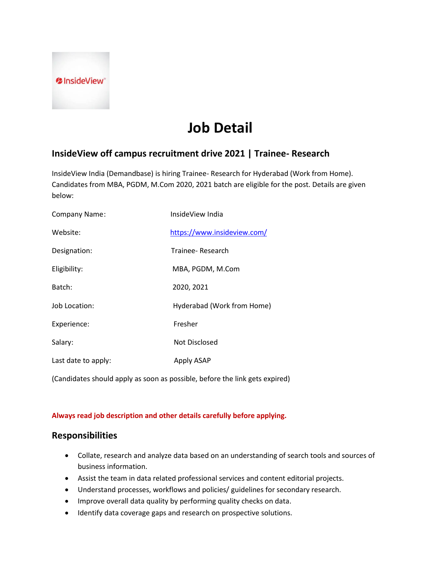

# **Job Detail**

## **InsideView off campus recruitment drive 2021 | Trainee- Research**

InsideView India (Demandbase) is hiring Trainee- Research for Hyderabad (Work from Home). Candidates from MBA, PGDM, M.Com 2020, 2021 batch are eligible for the post. Details are given below:

| Company Name:       | InsideView India            |
|---------------------|-----------------------------|
| Website:            | https://www.insideview.com/ |
| Designation:        | Trainee- Research           |
| Eligibility:        | MBA, PGDM, M.Com            |
| Batch:              | 2020, 2021                  |
| Job Location:       | Hyderabad (Work from Home)  |
| Experience:         | Fresher                     |
| Salary:             | <b>Not Disclosed</b>        |
| Last date to apply: | Apply ASAP                  |

(Candidates should apply as soon as possible, before the link gets expired)

#### **Always read job description and other details carefully before applying.**

## **Responsibilities**

- Collate, research and analyze data based on an understanding of search tools and sources of business information.
- Assist the team in data related professional services and content editorial projects.
- Understand processes, workflows and policies/ guidelines for secondary research.
- Improve overall data quality by performing quality checks on data.
- Identify data coverage gaps and research on prospective solutions.